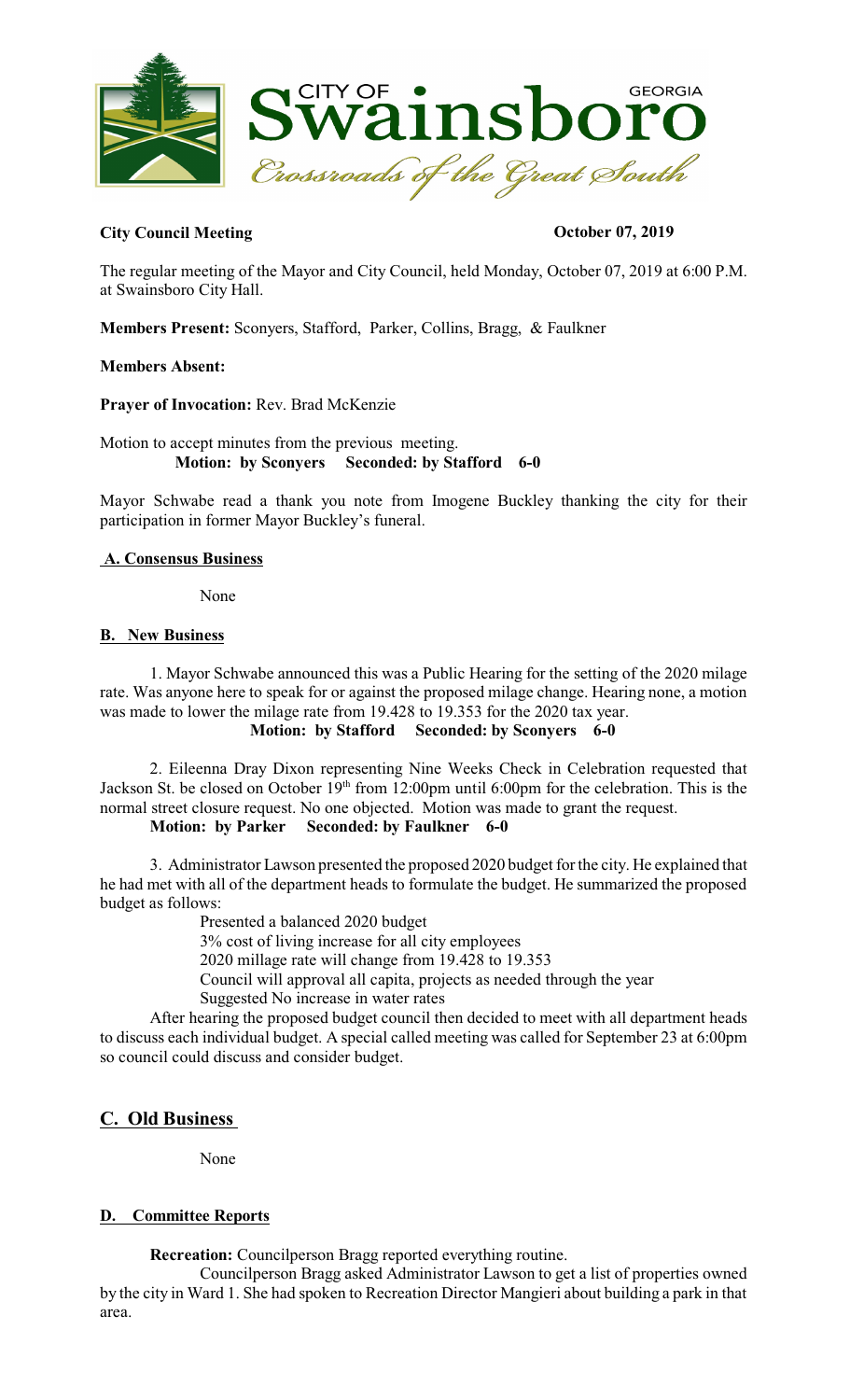

# **City Council Meeting Council Meeting Council Meeting Council Meeting Council Meeting Council Meeting Council Meeting Council Meeting Council Meeting Council Meeting Council Meeting Council Meeting Council Meeting Council**

The regular meeting of the Mayor and City Council, held Monday, October 07, 2019 at 6:00 P.M. at Swainsboro City Hall.

**Members Present:** Sconyers, Stafford, Parker, Collins, Bragg, & Faulkner

**Members Absent:** 

**Prayer of Invocation:** Rev. Brad McKenzie

Motion to accept minutes from the previous meeting.  **Motion: by Sconyers Seconded: by Stafford 6-0** 

Mayor Schwabe read a thank you note from Imogene Buckley thanking the city for their participation in former Mayor Buckley's funeral.

# **A. Consensus Business**

None

### **B. New Business**

1. Mayor Schwabe announced this was a Public Hearing for the setting of the 2020 milage rate. Was anyone here to speak for or against the proposed milage change. Hearing none, a motion was made to lower the milage rate from 19.428 to 19.353 for the 2020 tax year. **Motion: by Stafford Seconded: by Sconyers 6-0** 

2. Eileenna Dray Dixon representing Nine Weeks Check in Celebration requested that Jackson St. be closed on October 19<sup>th</sup> from 12:00pm until 6:00pm for the celebration. This is the normal street closure request. No one objected. Motion was made to grant the request.

**Motion: by Parker Seconded: by Faulkner 6-0** 

3. Administrator Lawson presented the proposed 2020 budget for the city. He explained that he had met with all of the department heads to formulate the budget. He summarized the proposed budget as follows:

Presented a balanced 2020 budget

3% cost of living increase for all city employees

2020 millage rate will change from 19.428 to 19.353

Council will approval all capita, projects as needed through the year

Suggested No increase in water rates

After hearing the proposed budget council then decided to meet with all department heads to discuss each individual budget. A special called meeting was called for September 23 at 6:00pm so council could discuss and consider budget.

# **C. Old Business**

None

# **D. Committee Reports**

**Recreation:** Councilperson Bragg reported everything routine.

Councilperson Bragg asked Administrator Lawson to get a list of properties owned by the city in Ward 1. She had spoken to Recreation Director Mangieri about building a park in that area.